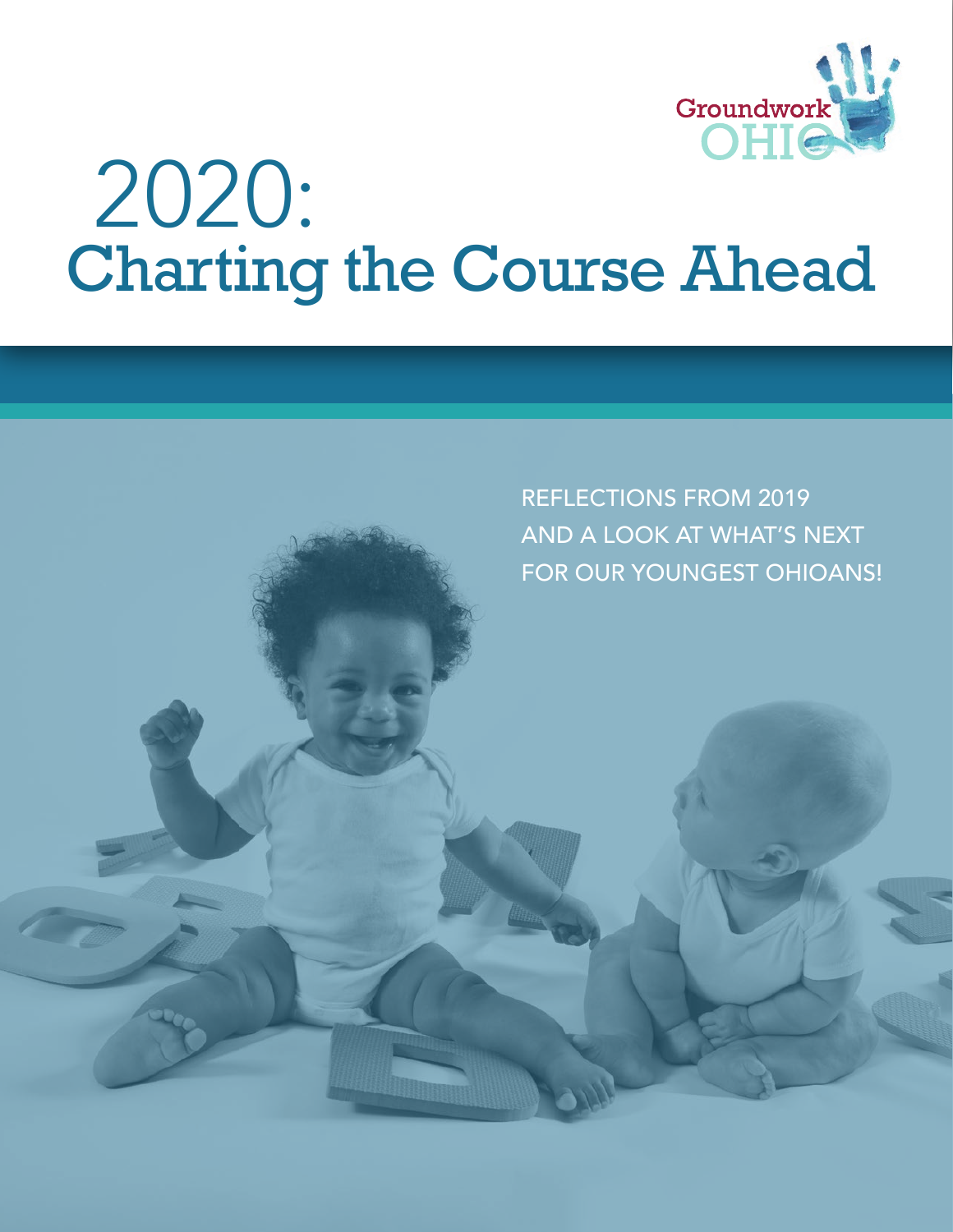

# Charting the Course Ahead 2020:

REFLECTIONS FROM 2019 AND A LOOK AT WHAT'S NEXT FOR OUR YOUNGEST OHIOANS!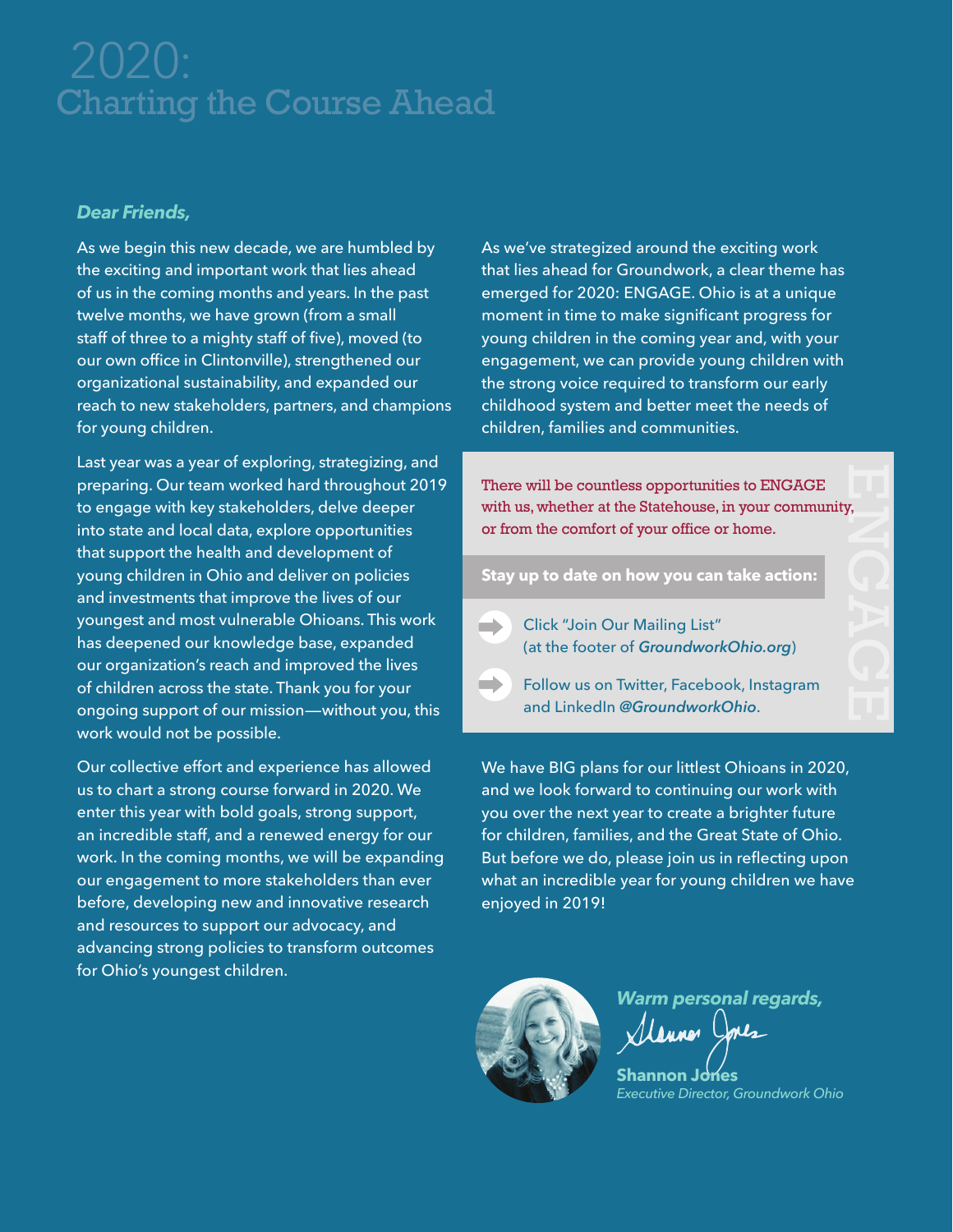# Charting the Course Ahead

#### *Dear Friends,*

As we begin this new decade, we are humbled by the exciting and important work that lies ahead of us in the coming months and years. In the past twelve months, we have grown (from a small staff of three to a mighty staff of five), moved (to our own office in Clintonville), strengthened our organizational sustainability, and expanded our reach to new stakeholders, partners, and champions for young children.

Last year was a year of exploring, strategizing, and preparing. Our team worked hard throughout 2019 to engage with key stakeholders, delve deeper into state and local data, explore opportunities that support the health and development of young children in Ohio and deliver on policies and investments that improve the lives of our youngest and most vulnerable Ohioans. This work has deepened our knowledge base, expanded our organization's reach and improved the lives of children across the state. Thank you for your ongoing support of our mission—without you, this work would not be possible.

Our collective effort and experience has allowed us to chart a strong course forward in 2020. We enter this year with bold goals, strong support, an incredible staff, and a renewed energy for our work. In the coming months, we will be expanding our engagement to more stakeholders than ever before, developing new and innovative research and resources to support our advocacy, and advancing strong policies to transform outcomes for Ohio's youngest children.

As we've strategized around the exciting work that lies ahead for Groundwork, a clear theme has emerged for 2020: ENGAGE. Ohio is at a unique moment in time to make significant progress for young children in the coming year and, with your engagement, we can provide young children with the strong voice required to transform our early childhood system and better meet the needs of children, families and communities.

There will be countless opportunities to ENGAGE with us, whether at the Statehouse, in your community, or from the comfort of your office or home.

**Stay up to date on how you can take action:**

Click "Join Our Mailing List"  $\blacksquare$ (at the footer of *[GroundworkOhio.org](https://www.GroundworkOhio.org)*)

Follow us on Twitter, Facebook, Instagram and LinkedIn *@GroundworkOhio*.

We have BIG plans for our littlest Ohioans in 2020, and we look forward to continuing our work with you over the next year to create a brighter future for children, families, and the Great State of Ohio. But before we do, please join us in reflecting upon what an incredible year for young children we have enjoyed in 2019!



*Warm personal regards,* Manner Jones

**Shannon Jones** *Executive Director, Groundwork Ohio*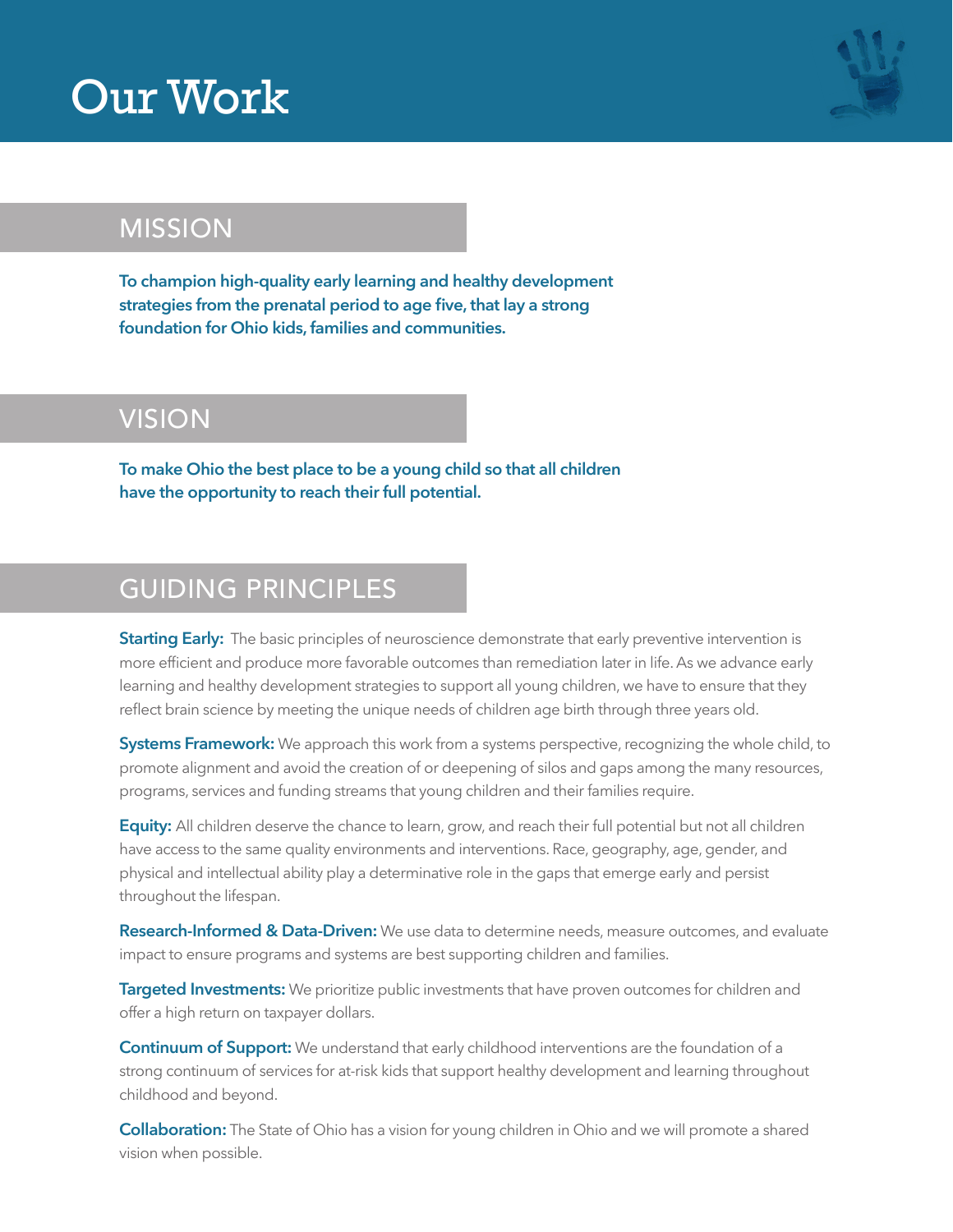## Our Work



## MISSION

**To champion high-quality early learning and healthy development strategies from the prenatal period to age five, that lay a strong foundation for Ohio kids, families and communities.**

## VISION

**To make Ohio the best place to be a young child so that all children have the opportunity to reach their full potential.**

## GUIDING PRINCIPLES

**Starting Early:** The basic principles of neuroscience demonstrate that early preventive intervention is more efficient and produce more favorable outcomes than remediation later in life. As we advance early learning and healthy development strategies to support all young children, we have to ensure that they reflect brain science by meeting the unique needs of children age birth through three years old.

**Systems Framework:** We approach this work from a systems perspective, recognizing the whole child, to promote alignment and avoid the creation of or deepening of silos and gaps among the many resources, programs, services and funding streams that young children and their families require.

**Equity:** All children deserve the chance to learn, grow, and reach their full potential but not all children have access to the same quality environments and interventions. Race, geography, age, gender, and physical and intellectual ability play a determinative role in the gaps that emerge early and persist throughout the lifespan.

**Research-Informed & Data-Driven:** We use data to determine needs, measure outcomes, and evaluate impact to ensure programs and systems are best supporting children and families.

**Targeted Investments:** We prioritize public investments that have proven outcomes for children and offer a high return on taxpayer dollars.

**Continuum of Support:** We understand that early childhood interventions are the foundation of a strong continuum of services for at-risk kids that support healthy development and learning throughout childhood and beyond.

**Collaboration:** The State of Ohio has a vision for young children in Ohio and we will promote a shared vision when possible.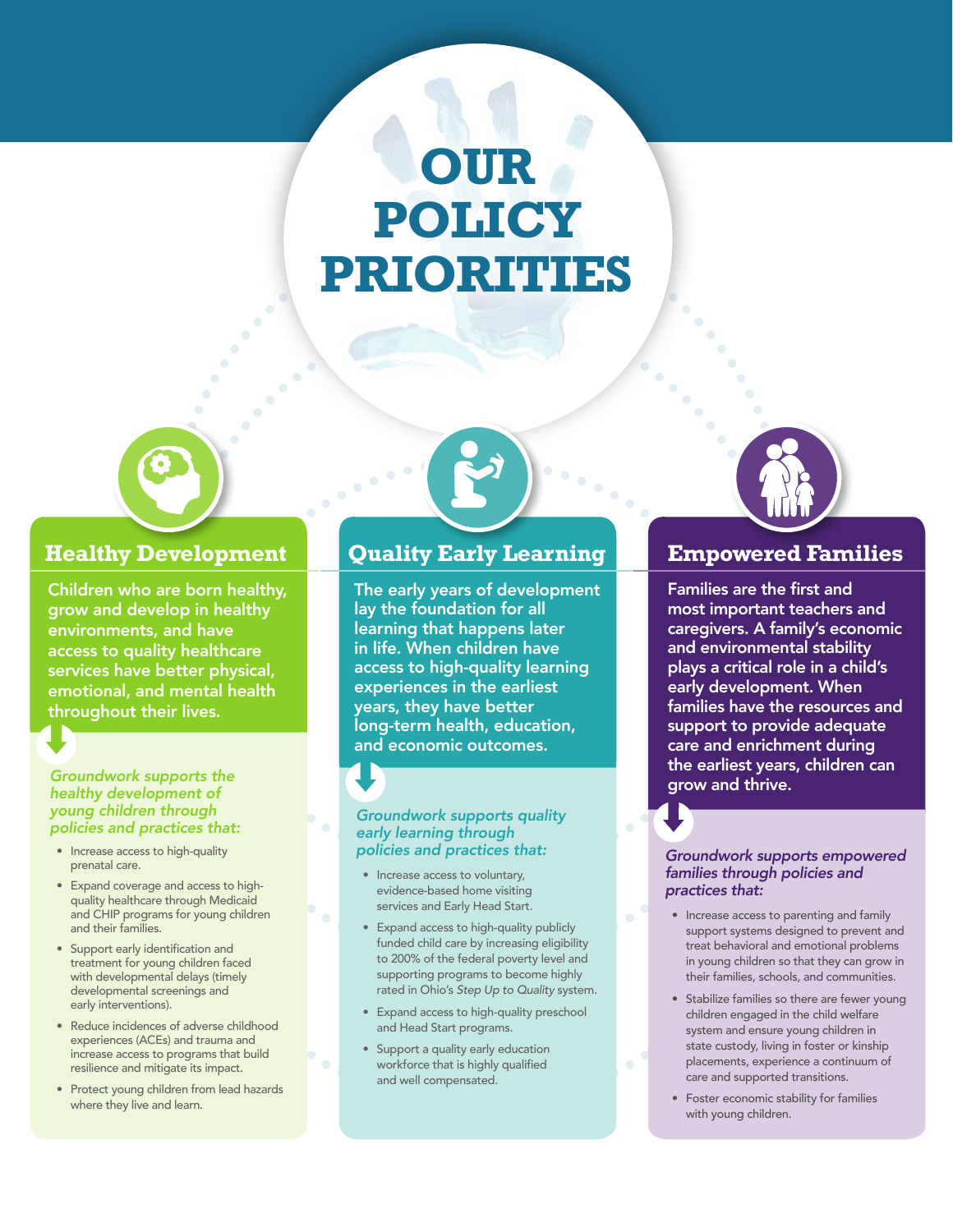## **OUR POLICY PRIORITIES**



Children who are born healthy, grow and develop in healthy environments, and have access to quality healthcare services have better physical, emotional, and mental health throughout their lives.

#### *Groundwork supports the healthy development of young children through policies and practices that:*

- Increase access to high-quality prenatal care.
- Expand coverage and access to highquality healthcare through Medicaid and CHIP programs for young children and their families.
- Support early identification and treatment for young children faced with developmental delays (timely developmental screenings and early interventions).
- Reduce incidences of adverse childhood experiences (ACEs) and trauma and increase access to programs that build resilience and mitigate its impact.
- Protect young children from lead hazards where they live and learn.

#### **Quality Early Learning**

The early years of development lay the foundation for all learning that happens later in life. When children have access to high-quality learning experiences in the earliest years, they have better long-term health, education, and economic outcomes.

#### *Groundwork supports quality early learning through policies and practices that:*

- Increase access to voluntary, evidence-based home visiting services and Early Head Start.
- Expand access to high-quality publicly funded child care by increasing eligibility to 200% of the federal poverty level and supporting programs to become highly rated in Ohio's *Step Up to Quality* system.
- Expand access to high-quality preschool and Head Start programs.
- Support a quality early education workforce that is highly qualified and well compensated.



### **Empowered Families**

Families are the first and most important teachers and caregivers. A family's economic and environmental stability plays a critical role in a child's early development. When families have the resources and support to provide adequate care and enrichment during the earliest years, children can grow and thrive.

#### *Groundwork supports empowered families through policies and practices that:*

- Increase access to parenting and family support systems designed to prevent and treat behavioral and emotional problems in young children so that they can grow in their families, schools, and communities.
- Stabilize families so there are fewer young children engaged in the child welfare system and ensure young children in state custody, living in foster or kinship placements, experience a continuum of care and supported transitions.
- Foster economic stability for families with young children.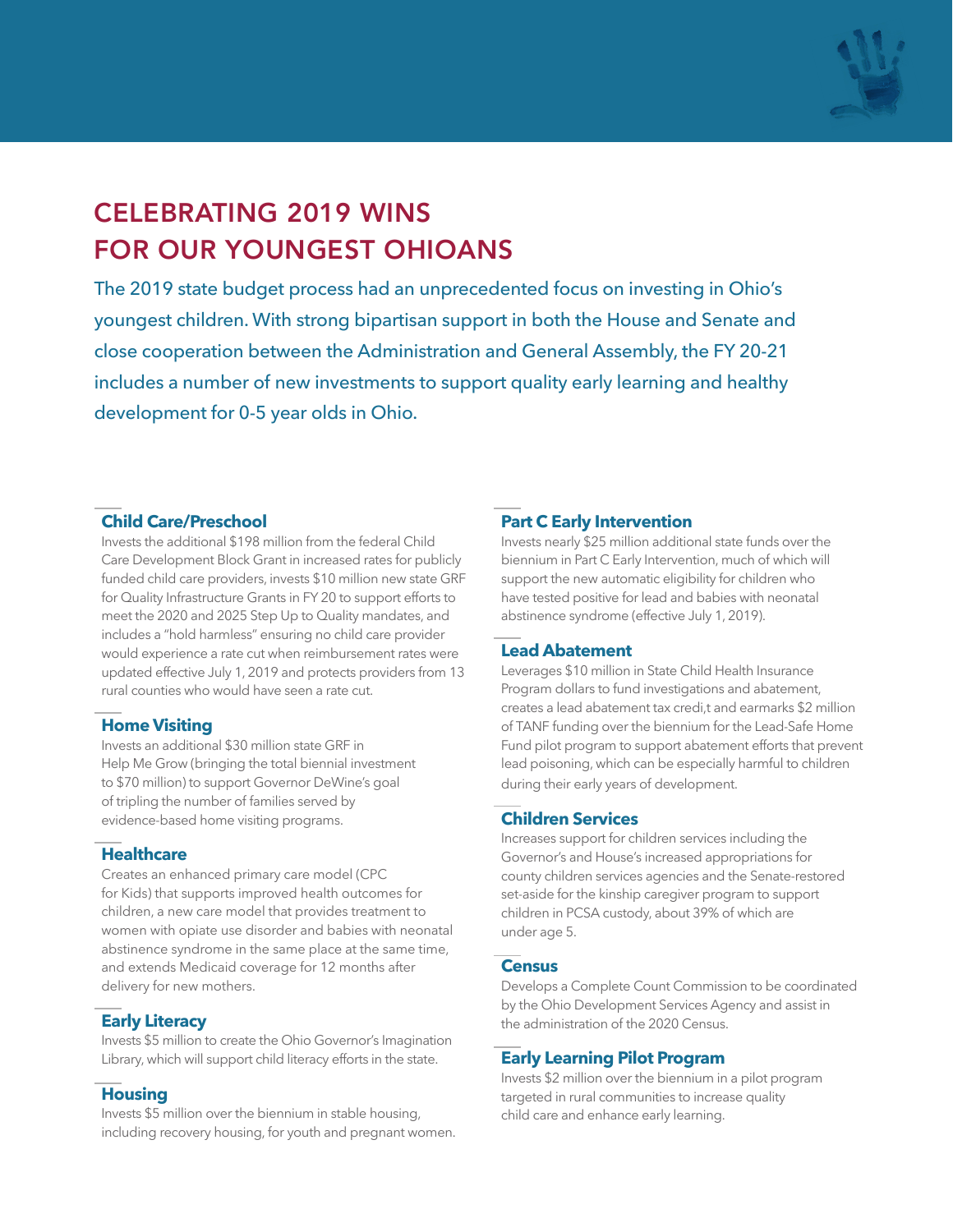

## CELEBRATING 2019 WINS FOR OUR YOUNGEST OHIOANS

The 2019 state budget process had an unprecedented focus on investing in Ohio's youngest children. With strong bipartisan support in both the House and Senate and close cooperation between the Administration and General Assembly, the FY 20-21 includes a number of new investments to support quality early learning and healthy development for 0-5 year olds in Ohio.

#### **Child Care/Preschool**

Invests the additional \$198 million from the federal Child Care Development Block Grant in increased rates for publicly funded child care providers, invests \$10 million new state GRF for Quality Infrastructure Grants in FY 20 to support efforts to meet the 2020 and 2025 Step Up to Quality mandates, and includes a "hold harmless" ensuring no child care provider would experience a rate cut when reimbursement rates were updated effective July 1, 2019 and protects providers from 13 rural counties who would have seen a rate cut.

#### **Home Visiting**

Invests an additional \$30 million state GRF in Help Me Grow (bringing the total biennial investment to \$70 million) to support Governor DeWine's goal of tripling the number of families served by evidence-based home visiting programs.

#### **Healthcare**

Creates an enhanced primary care model (CPC for Kids) that supports improved health outcomes for children, a new care model that provides treatment to women with opiate use disorder and babies with neonatal abstinence syndrome in the same place at the same time, and extends Medicaid coverage for 12 months after delivery for new mothers.

#### **Early Literacy**

Invests \$5 million to create the Ohio Governor's Imagination Library, which will support child literacy efforts in the state.

#### **Housing**

Invests \$5 million over the biennium in stable housing, including recovery housing, for youth and pregnant women.

#### **Part C Early Intervention**

Invests nearly \$25 million additional state funds over the biennium in Part C Early Intervention, much of which will support the new automatic eligibility for children who have tested positive for lead and babies with neonatal abstinence syndrome (effective July 1, 2019).

#### **Lead Abatement**

Leverages \$10 million in State Child Health Insurance Program dollars to fund investigations and abatement, creates a lead abatement tax credi,t and earmarks \$2 million of TANF funding over the biennium for the Lead-Safe Home Fund pilot program to support abatement efforts that prevent lead poisoning, which can be especially harmful to children during their early years of development.

#### **Children Services**

Increases support for children services including the Governor's and House's increased appropriations for county children services agencies and the Senate-restored set-aside for the kinship caregiver program to support children in PCSA custody, about 39% of which are under age 5.

#### **Census**

Develops a Complete Count Commission to be coordinated by the Ohio Development Services Agency and assist in the administration of the 2020 Census.

#### **Early Learning Pilot Program**

Invests \$2 million over the biennium in a pilot program targeted in rural communities to increase quality child care and enhance early learning.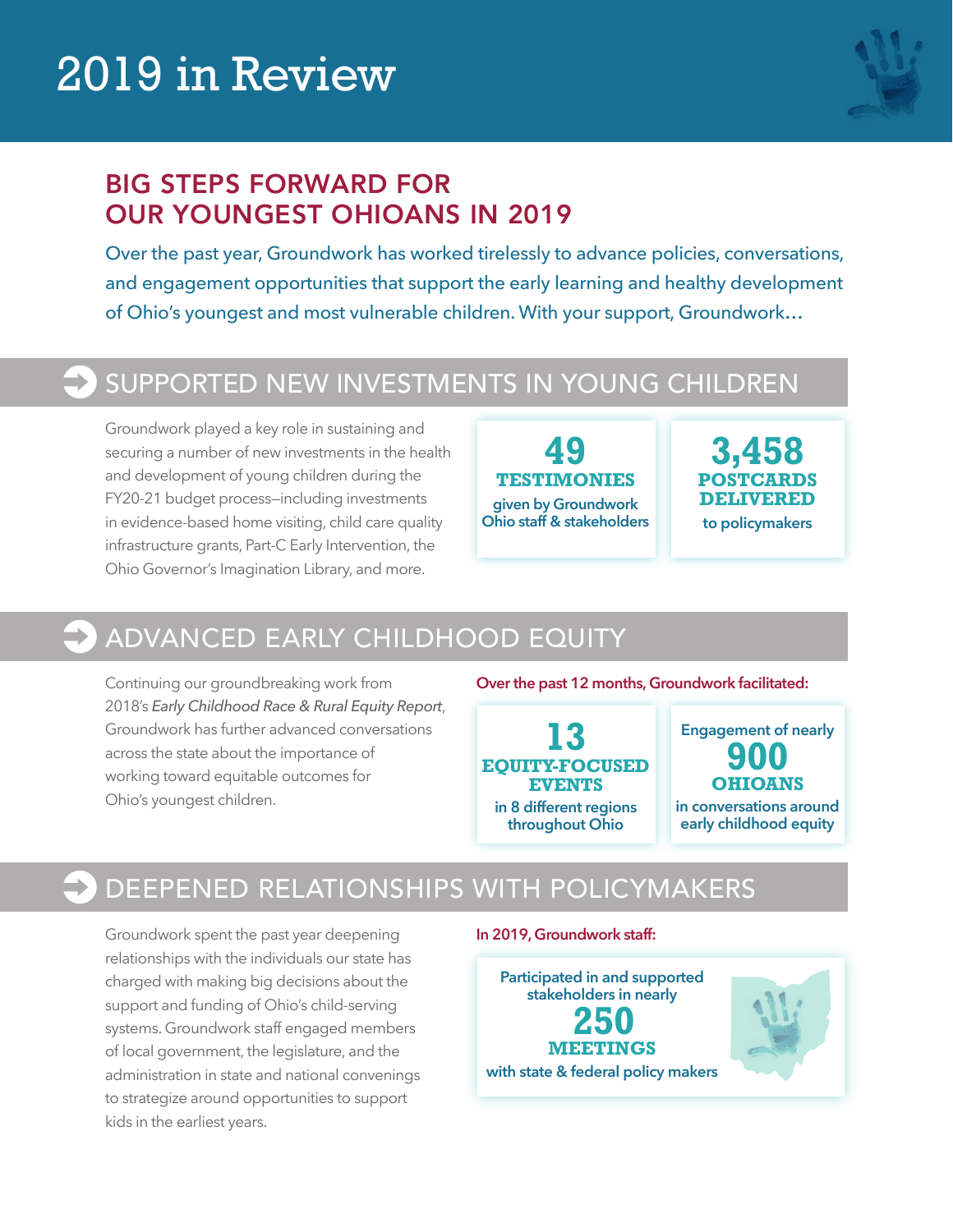## 2019 in Review



### BIG STEPS FORWARD FOR OUR YOUNGEST OHIOANS IN 2019

Over the past year, Groundwork has worked tirelessly to advance policies, conversations, and engagement opportunities that support the early learning and healthy development of Ohio's youngest and most vulnerable children. With your support, Groundwork…

## SUPPORTED NEW INVESTMENTS IN YOUNG CHILDREN

Groundwork played a key role in sustaining and securing a number of new investments in the health and development of young children during the FY20-21 budget process—including investments in evidence-based home visiting, child care quality infrastructure grants, Part-C Early Intervention, the Ohio Governor's Imagination Library, and more.

**49 TESTIMONIES given by Groundwork Ohio staff & stakeholders**

**3,458 POSTCARDS DELIVERED to policymakers** 

## ADVANCED EARLY CHILDHOOD EQUITY

Continuing our groundbreaking work from 2018's *Early Childhood Race & Rural Equity Report*, Groundwork has further advanced conversations across the state about the importance of working toward equitable outcomes for Ohio's youngest children.

**Over the past 12 months, Groundwork facilitated:**

**13 EQUITY-FOCUSED EVENTS in 8 different regions throughout Ohio**

**Engagement of nearly 900 OHIOANS in conversations around** 

**early childhood equity**

## DEEPENED RELATIONSHIPS WITH POLICYMAKERS

Groundwork spent the past year deepening relationships with the individuals our state has charged with making big decisions about the support and funding of Ohio's child-serving systems. Groundwork staff engaged members of local government, the legislature, and the administration in state and national convenings to strategize around opportunities to support kids in the earliest years.

**In 2019, Groundwork staff:**

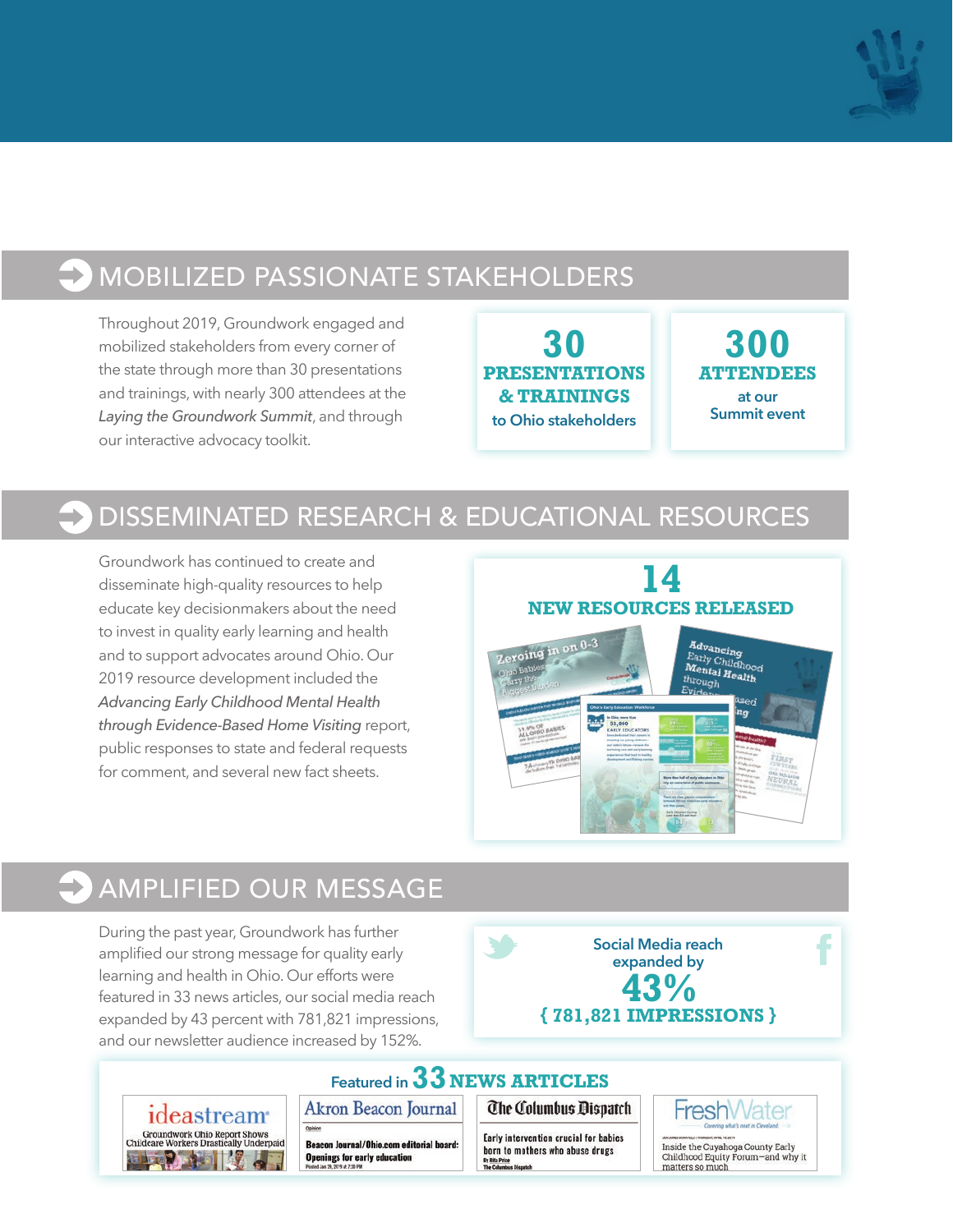

## MOBILIZED PASSIONATE STAKEHOLDERS

Throughout 2019, Groundwork engaged and mobilized stakeholders from every corner of the state through more than 30 presentations and trainings, with nearly 300 attendees at the *Laying the Groundwork Summit*, and through our interactive advocacy toolkit.

**30 PRESENTATIONS & TRAININGS to Ohio stakeholders** 

**300 ATTENDEES at our Summit event**

## DISSEMINATED RESEARCH & EDUCATIONAL RESOURCES

Groundwork has continued to create and disseminate high-quality resources to help educate key decisionmakers about the need to invest in quality early learning and health and to support advocates around Ohio. Our 2019 resource development included the *Advancing Early Childhood Mental Health through Evidence-Based Home Visiting* report, public responses to state and federal requests for comment, and several new fact sheets.



## AMPLIFIED OUR MESSAGE

During the past year, Groundwork has further amplified our strong message for quality early learning and health in Ohio. Our efforts were featured in 33 news articles, our social media reach expanded by 43 percent with 781,821 impressions, and our newsletter audience increased by 152%.

**Social Media reach expanded by 43% { 781,821 IMPRESSIONS }**

**Featured in 33 NEWS ARTICLESAkron Beacon Journal** 



Beacon Journal/Ohio.com editorial board: **Openings for early education** 

**The Columbus Dispatch** 

Early intervention crucial for babies born to mothers who abuse drugs By Rita Price<br>The Columbus



Inside the Cuyahoga County Early Childhood Equity Forum-and why it matters so much